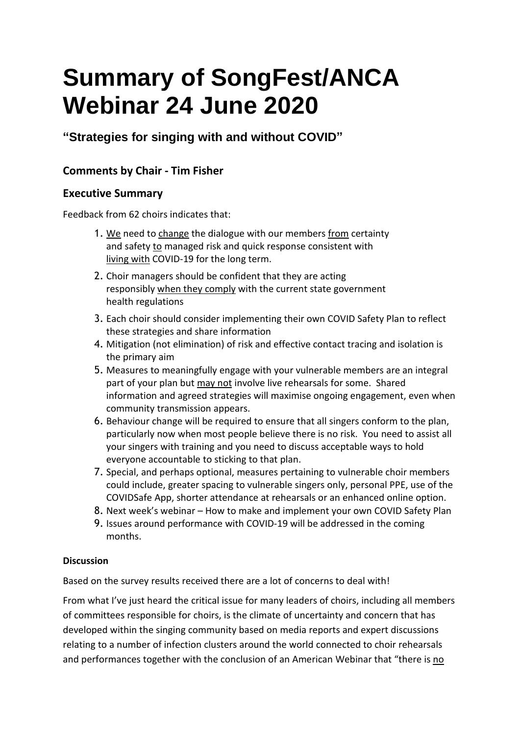# **Summary of SongFest/ANCA Webinar 24 June 2020**

# **"Strategies for singing with and without COVID"**

## **Comments by Chair - Tim Fisher**

## **Executive Summary**

Feedback from 62 choirs indicates that:

- 1. We need to change the dialogue with our members from certainty and safety to managed risk and quick response consistent with living with COVID-19 for the long term.
- 2. Choir managers should be confident that they are acting responsibly when they comply with the current state government health regulations
- 3. Each choir should consider implementing their own COVID Safety Plan to reflect these strategies and share information
- 4. Mitigation (not elimination) of risk and effective contact tracing and isolation is the primary aim
- 5. Measures to meaningfully engage with your vulnerable members are an integral part of your plan but may not involve live rehearsals for some. Shared information and agreed strategies will maximise ongoing engagement, even when community transmission appears.
- 6. Behaviour change will be required to ensure that all singers conform to the plan, particularly now when most people believe there is no risk. You need to assist all your singers with training and you need to discuss acceptable ways to hold everyone accountable to sticking to that plan.
- 7. Special, and perhaps optional, measures pertaining to vulnerable choir members could include, greater spacing to vulnerable singers only, personal PPE, use of the COVIDSafe App, shorter attendance at rehearsals or an enhanced online option.
- 8. Next week's webinar How to make and implement your own COVID Safety Plan
- 9. Issues around performance with COVID-19 will be addressed in the coming months.

### **Discussion**

Based on the survey results received there are a lot of concerns to deal with!

From what I've just heard the critical issue for many leaders of choirs, including all members of committees responsible for choirs, is the climate of uncertainty and concern that has developed within the singing community based on media reports and expert discussions relating to a number of infection clusters around the world connected to choir rehearsals and performances together with the conclusion of an American Webinar that "there is no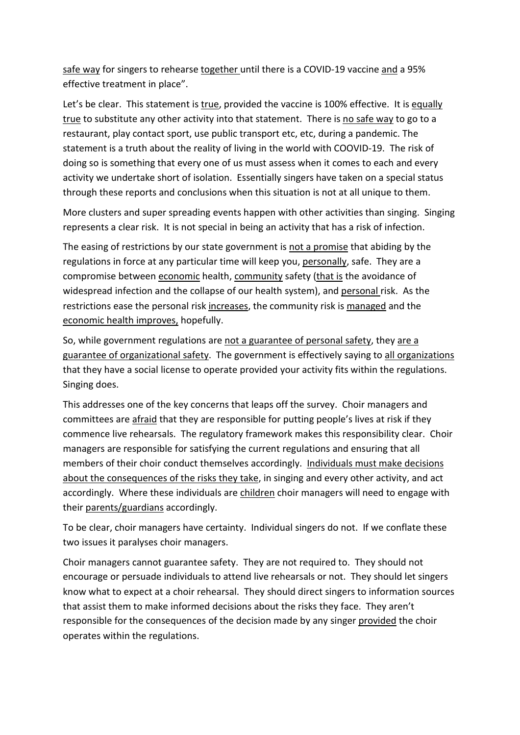safe way for singers to rehearse together until there is a COVID-19 vaccine and a 95% effective treatment in place".

Let's be clear. This statement is true, provided the vaccine is 100% effective. It is equally true to substitute any other activity into that statement. There is no safe way to go to a restaurant, play contact sport, use public transport etc, etc, during a pandemic. The statement is a truth about the reality of living in the world with COOVID-19. The risk of doing so is something that every one of us must assess when it comes to each and every activity we undertake short of isolation. Essentially singers have taken on a special status through these reports and conclusions when this situation is not at all unique to them.

More clusters and super spreading events happen with other activities than singing. Singing represents a clear risk. It is not special in being an activity that has a risk of infection.

The easing of restrictions by our state government is not a promise that abiding by the regulations in force at any particular time will keep you, personally, safe. They are a compromise between economic health, community safety (that is the avoidance of widespread infection and the collapse of our health system), and personal risk. As the restrictions ease the personal risk increases, the community risk is managed and the economic health improves, hopefully.

So, while government regulations are not a guarantee of personal safety, they are a guarantee of organizational safety. The government is effectively saying to all organizations that they have a social license to operate provided your activity fits within the regulations. Singing does.

This addresses one of the key concerns that leaps off the survey. Choir managers and committees are afraid that they are responsible for putting people's lives at risk if they commence live rehearsals. The regulatory framework makes this responsibility clear. Choir managers are responsible for satisfying the current regulations and ensuring that all members of their choir conduct themselves accordingly. Individuals must make decisions about the consequences of the risks they take, in singing and every other activity, and act accordingly. Where these individuals are children choir managers will need to engage with their parents/guardians accordingly.

To be clear, choir managers have certainty. Individual singers do not. If we conflate these two issues it paralyses choir managers.

Choir managers cannot guarantee safety. They are not required to. They should not encourage or persuade individuals to attend live rehearsals or not. They should let singers know what to expect at a choir rehearsal. They should direct singers to information sources that assist them to make informed decisions about the risks they face. They aren't responsible for the consequences of the decision made by any singer provided the choir operates within the regulations.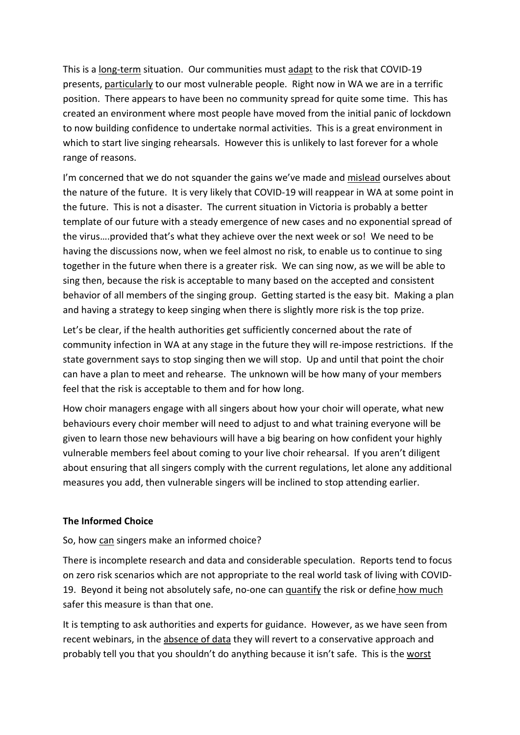This is a long-term situation. Our communities must adapt to the risk that COVID-19 presents, particularly to our most vulnerable people. Right now in WA we are in a terrific position. There appears to have been no community spread for quite some time. This has created an environment where most people have moved from the initial panic of lockdown to now building confidence to undertake normal activities. This is a great environment in which to start live singing rehearsals. However this is unlikely to last forever for a whole range of reasons.

I'm concerned that we do not squander the gains we've made and mislead ourselves about the nature of the future. It is very likely that COVID-19 will reappear in WA at some point in the future. This is not a disaster. The current situation in Victoria is probably a better template of our future with a steady emergence of new cases and no exponential spread of the virus….provided that's what they achieve over the next week or so! We need to be having the discussions now, when we feel almost no risk, to enable us to continue to sing together in the future when there is a greater risk. We can sing now, as we will be able to sing then, because the risk is acceptable to many based on the accepted and consistent behavior of all members of the singing group. Getting started is the easy bit. Making a plan and having a strategy to keep singing when there is slightly more risk is the top prize.

Let's be clear, if the health authorities get sufficiently concerned about the rate of community infection in WA at any stage in the future they will re-impose restrictions. If the state government says to stop singing then we will stop. Up and until that point the choir can have a plan to meet and rehearse. The unknown will be how many of your members feel that the risk is acceptable to them and for how long.

How choir managers engage with all singers about how your choir will operate, what new behaviours every choir member will need to adjust to and what training everyone will be given to learn those new behaviours will have a big bearing on how confident your highly vulnerable members feel about coming to your live choir rehearsal. If you aren't diligent about ensuring that all singers comply with the current regulations, let alone any additional measures you add, then vulnerable singers will be inclined to stop attending earlier.

#### **The Informed Choice**

#### So, how can singers make an informed choice?

There is incomplete research and data and considerable speculation. Reports tend to focus on zero risk scenarios which are not appropriate to the real world task of living with COVID-19. Beyond it being not absolutely safe, no-one can quantify the risk or define how much safer this measure is than that one.

It is tempting to ask authorities and experts for guidance. However, as we have seen from recent webinars, in the absence of data they will revert to a conservative approach and probably tell you that you shouldn't do anything because it isn't safe. This is the worst